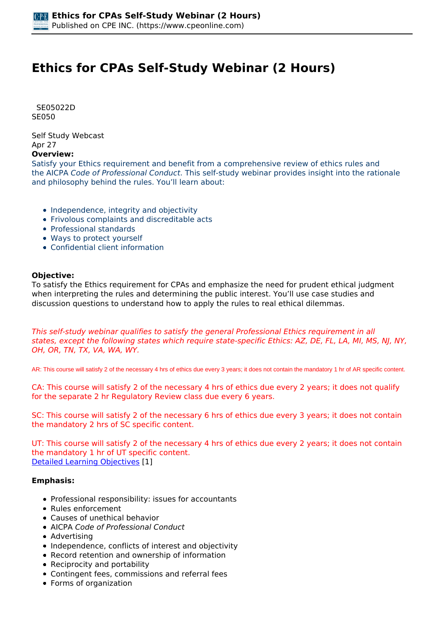# **Ethics for CPAs Self-Study Webinar (2 Hours)**

 *SE05022D SE050* 

*Self Study Webcast Apr 27* 

# **Overview:**

*Satisfy your Ethics requirement and benefit from a comprehensive review of ethics rules and the AICPA Code of Professional Conduct. This self-study webinar provides insight into the rationale and philosophy behind the rules. You'll learn about:*

- *Independence, integrity and objectivity*
- *Frivolous complaints and discreditable acts*
- *Professional standards*
- *Ways to protect yourself*
- *Confidential client information*

#### **Objective:**

*To satisfy the Ethics requirement for CPAs and emphasize the need for prudent ethical judgment when interpreting the rules and determining the public interest. You'll use case studies and discussion questions to understand how to apply the rules to real ethical dilemmas.*

*This self-study webinar qualifies to satisfy the general Professional Ethics requirement in all states, except the following states which require state-specific Ethics: AZ, DE, FL, LA, MI, MS, NJ, NY, OH, OR, TN, TX, VA, WA, WY.*

AR: This course will satisfy 2 of the necessary 4 hrs of ethics due every 3 years; it does not contain the mandatory 1 hr of AR specific content.

*CA: This course will satisfy 2 of the necessary 4 hrs of ethics due every 2 years; it does not qualify for the separate 2 hr Regulatory Review class due every 6 years.*

*SC: This course will satisfy 2 of the necessary 6 hrs of ethics due every 3 years; it does not contain the mandatory 2 hrs of SC specific content.*

*UT: This course will satisfy 2 of the necessary 4 hrs of ethics due every 2 years; it does not contain the mandatory 1 hr of UT specific content. [Detailed Learning Objectives](https://www.cpeonline.com/JavaScript:showObjectivesPopup();) [1]*

# **Emphasis:**

- *Professional responsibility: issues for accountants*
- *Rules enforcement*
- *Causes of unethical behavior*
- *AICPA Code of Professional Conduct*
- *Advertising*
- *Independence, conflicts of interest and objectivity*
- *Record retention and ownership of information*
- *Reciprocity and portability*
- *Contingent fees, commissions and referral fees*
- *Forms of organization*